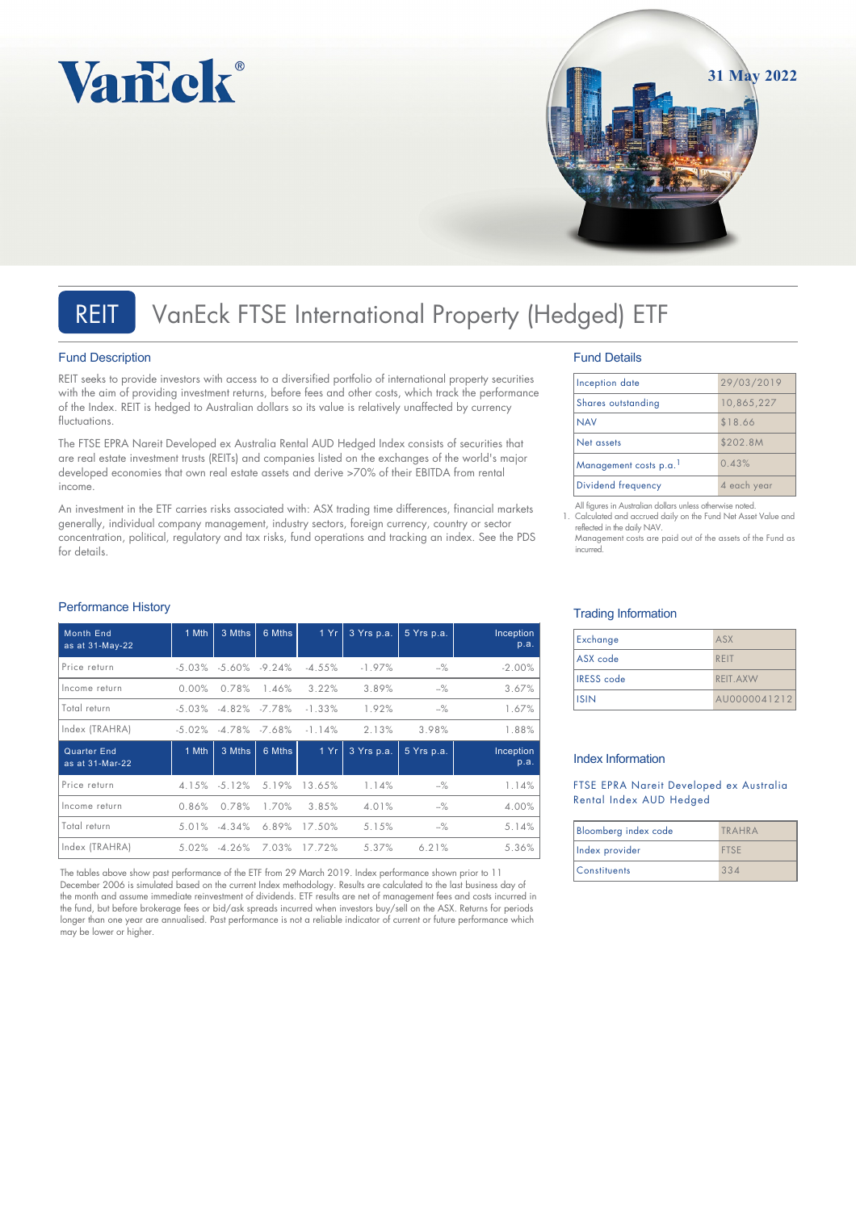



### Fund Description

Performance History

REIT seeks to provide investors with access to a diversified portfolio of international property securities with the aim of providing investment returns, before fees and other costs, which track the performance of the Index. REIT is hedged to Australian dollars so its value is relatively unaffected by currency fluctuations.

The FTSE EPRA Nareit Developed ex Australia Rental AUD Hedged Index consists of securities that are real estate investment trusts (REITs) and companies listed on the exchanges of the world's major developed economies that own real estate assets and derive >70% of their EBITDA from rental income.

An investment in the ETF carries risks associated with: ASX trading time differences, financial markets generally, individual company management, industry sectors, foreign currency, country or sector concentration, political, regulatory and tax risks, fund operations and tracking an index. See the PDS for details.

## Month End as at 31-May-22 1 Mth 3 Mths 6 Mths 1 Yr 3 Yrs p.a. 5 Yrs p.a. Inception p.a. Price return -5.03% -5.60% -9.24% -4.55% -1.97% --% -2.00% Income return 0.00% 0.78% 1.46% 3.22% 3.89% --% 3.67% Total return -5.03% -4.82% -7.78% -1.33% 1.92% --% 1.67% Index (TRAHRA) -5.02% -4.78% -7.68% -1.14% 2.13% 3.98% 1.88% Quarter End as at 31-Mar-22 1 Mth  $\vert$  3 Mths  $\vert$  6 Mths  $\vert$  1 Yr  $\vert$  3 Yrs p.a.  $\vert$  5 Yrs p.a.  $\vert$  1nception p.a. Price return 4.15% -5.12% 5.19% 13.65% 1.14% --% 1.14% Income return 0.86% 0.78% 1.70% 3.85% 4.01% --% 4.00% Total return 5.01% -4.34% 6.89% 17.50% 5.15% --% 5.14% Index (TRAHRA) 5.02% -4.26% 7.03% 17.72% 5.37% 6.21% 5.36%

The tables above show past performance of the ETF from 29 March 2019. Index performance shown prior to 11 December 2006 is simulated based on the current Index methodology. Results are calculated to the last business day of the month and assume immediate reinvestment of dividends. ETF results are net of management fees and costs incurred in the fund, but before brokerage fees or bid/ask spreads incurred when investors buy/sell on the ASX. Returns for periods longer than one year are annualised. Past performance is not a reliable indicator of current or future performance which may be lower or higher.

### Fund Details

| Inception date        | 29/03/2019  |
|-----------------------|-------------|
| Shares outstanding    | 10,865,227  |
| <b>NAV</b>            | \$18.66     |
| Net assets            | \$202.8M    |
| Management costs p.a. | 0.43%       |
| Dividend frequency    | 4 each year |

**31 May 2022**

All figures in Australian dollars unless otherwise noted. 1. Calculated and accrued daily on the Fund Net Asset Value and reflected in the daily NAV. Management costs are paid out of the assets of the Fund as incurred.

## Trading Information

| Exchange          | ASX          |
|-------------------|--------------|
| ASX code          | RFIT         |
| <b>IRESS</b> code | REIT.AXW     |
| <b>ISIN</b>       | AU0000041212 |

### Index Information

FTSE EPRA Nareit Developed ex Australia Rental Index AUD Hedged

| Bloomberg index code | TRAHRA      |
|----------------------|-------------|
| Index provider       | <b>FTSF</b> |
| Constituents         | 334         |